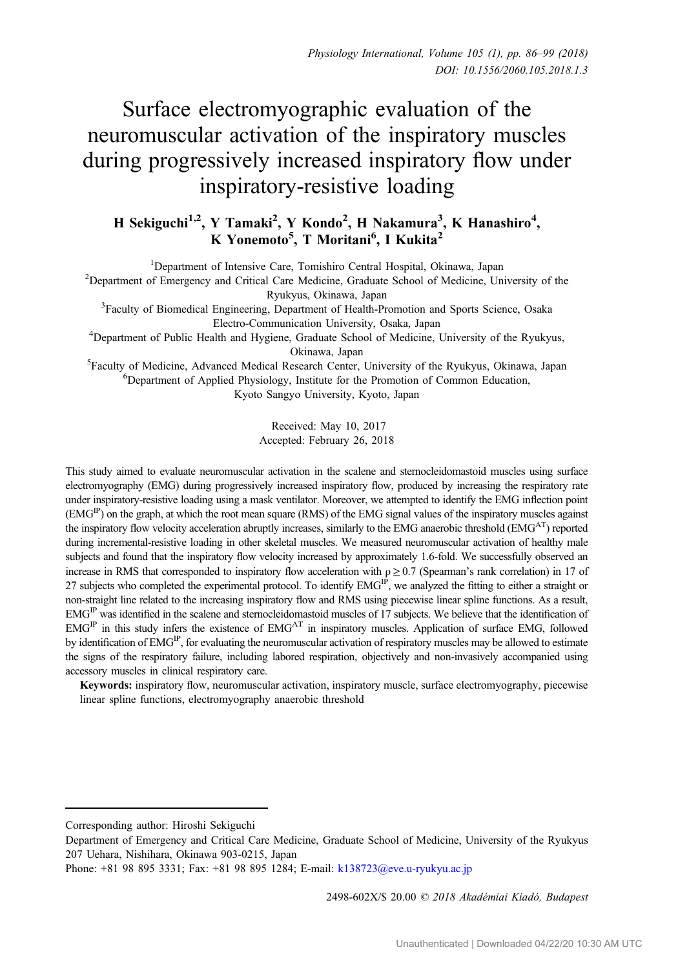# Surface electromyographic evaluation of the neuromuscular activation of the inspiratory muscles during progressively increased inspiratory flow under inspiratory-resistive loading

# H Sekiguchi<sup>1,2</sup>, Y Tamaki<sup>2</sup>, Y Kondo<sup>2</sup>, H Nakamura<sup>3</sup>, K Hanashiro<sup>4</sup>, K Yonemoto<sup>5</sup>, T Moritani<sup>6</sup>, I Kukita<sup>2</sup>

<sup>1</sup>Department of Intensive Care, Tomishiro Central Hospital, Okinawa, Japan

<sup>2</sup>Department of Intensive Care, Tomishiro Central Hospital, Okinawa, Japan<br><sup>2</sup>Department of Emergency and Critical Care Medicine, Graduate School of Medicine, University of the

Ryukyus, Okinawa, Japan<br><sup>3</sup>Faculty of Biomedical Engineering, Department of Health-Promotion and Sports Science, Osaka

Electro-Communication University, Osaka, Japan <sup>4</sup> Department of Public Health and Hygiene, Graduate School of Medicine, University of the Ryukyus, Okinawa, Japan<br><sup>5</sup>Eaculty of Medicine, Advanced Medical Research Center

Faculty of Medicine, Advanced Medical Research Center, University of the Ryukyus, Okinawa, Japan<br><sup>6</sup>Department of Applied Physiology, Institute for the Promotion of Common Education <sup>6</sup>Department of Applied Physiology, Institute for the Promotion of Common Education, Kyoto Sangyo University, Kyoto, Japan

> Received: May 10, 2017 Accepted: February 26, 2018

This study aimed to evaluate neuromuscular activation in the scalene and sternocleidomastoid muscles using surface electromyography (EMG) during progressively increased inspiratory flow, produced by increasing the respiratory rate under inspiratory-resistive loading using a mask ventilator. Moreover, we attempted to identify the EMG inflection point  $(EMG<sup>IP</sup>)$  on the graph, at which the root mean square (RMS) of the EMG signal values of the inspiratory muscles against the inspiratory flow velocity acceleration abruptly increases, similarly to the EMG anaerobic threshold (EMG<sup>AT</sup>) reported during incremental-resistive loading in other skeletal muscles. We measured neuromuscular activation of healthy male subjects and found that the inspiratory flow velocity increased by approximately 1.6-fold. We successfully observed an increase in RMS that corresponded to inspiratory flow acceleration with  $\rho \geq 0.7$  (Spearman's rank correlation) in 17 of 27 subjects who completed the experimental protocol. To identify  $EMG<sup>P</sup>$ , we analyzed the fitting to either a straight or non-straight line related to the increasing inspiratory flow and RMS using piecewise linear spline functions. As a result,  $EMG<sup>IP</sup>$  was identified in the scalene and sternocleidomastoid muscles of 17 subjects. We believe that the identification of EMG<sup>IP</sup> in this study infers the existence of EMG<sup>AT</sup> in inspiratory muscles. Application of surface EMG, followed by identification of EMG<sup>IP</sup>, for evaluating the neuromuscular activation of respiratory muscles may be allowed to estimate the signs of the respiratory failure, including labored respiration, objectively and non-invasively accompanied using accessory muscles in clinical respiratory care.

Keywords: inspiratory flow, neuromuscular activation, inspiratory muscle, surface electromyography, piecewise linear spline functions, electromyography anaerobic threshold

2498-602X/\$ 20.00 © 2018 Akadémiai Kiadó, Budapest

Corresponding author: Hiroshi Sekiguchi

Department of Emergency and Critical Care Medicine, Graduate School of Medicine, University of the Ryukyus Phone: +81 98 895 3331; Fax: +81 98 895 1284; E-mail: [k138723@eve.u](mailto:k138723@eve.u-ryukyu.ac.jp)‑ryukyu.ac.jp 207 Uehara, Nishihara, Okinawa 903-0215, Japan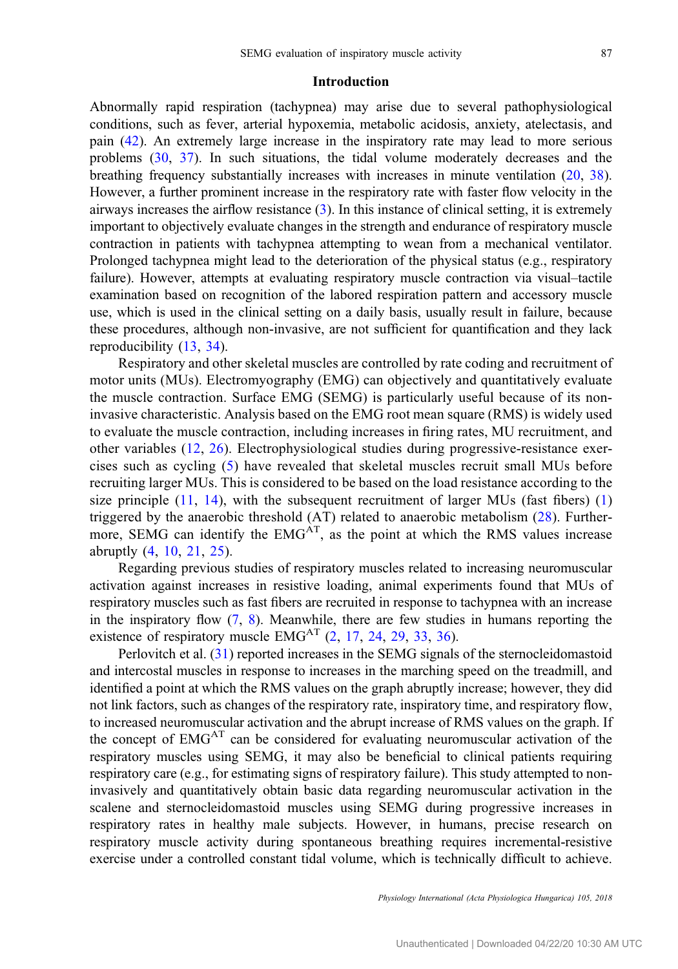## Introduction

Abnormally rapid respiration (tachypnea) may arise due to several pathophysiological conditions, such as fever, arterial hypoxemia, metabolic acidosis, anxiety, atelectasis, and pain ([42\)](#page-13-0). An extremely large increase in the inspiratory rate may lead to more serious problems [\(30](#page-12-0), [37](#page-13-0)). In such situations, the tidal volume moderately decreases and the breathing frequency substantially increases with increases in minute ventilation ([20,](#page-12-0) [38](#page-13-0)). However, a further prominent increase in the respiratory rate with faster flow velocity in the airways increases the airflow resistance ([3\)](#page-11-0). In this instance of clinical setting, it is extremely important to objectively evaluate changes in the strength and endurance of respiratory muscle contraction in patients with tachypnea attempting to wean from a mechanical ventilator. Prolonged tachypnea might lead to the deterioration of the physical status (e.g., respiratory failure). However, attempts at evaluating respiratory muscle contraction via visual–tactile examination based on recognition of the labored respiration pattern and accessory muscle use, which is used in the clinical setting on a daily basis, usually result in failure, because these procedures, although non-invasive, are not sufficient for quantification and they lack reproducibility ([13,](#page-12-0) [34\)](#page-12-0).

Respiratory and other skeletal muscles are controlled by rate coding and recruitment of motor units (MUs). Electromyography (EMG) can objectively and quantitatively evaluate the muscle contraction. Surface EMG (SEMG) is particularly useful because of its noninvasive characteristic. Analysis based on the EMG root mean square (RMS) is widely used to evaluate the muscle contraction, including increases in firing rates, MU recruitment, and other variables ([12,](#page-12-0) [26](#page-12-0)). Electrophysiological studies during progressive-resistance exercises such as cycling ([5](#page-11-0)) have revealed that skeletal muscles recruit small MUs before recruiting larger MUs. This is considered to be based on the load resistance according to the size principle  $(11, 14)$  $(11, 14)$  $(11, 14)$  $(11, 14)$ , with the subsequent recruitment of larger MUs (fast fibers)  $(1)$  $(1)$ triggered by the anaerobic threshold (AT) related to anaerobic metabolism ([28\)](#page-12-0). Furthermore, SEMG can identify the  $EMG<sup>AT</sup>$ , as the point at which the RMS values increase abruptly ([4,](#page-11-0) [10](#page-12-0), [21](#page-12-0), [25\)](#page-12-0).

Regarding previous studies of respiratory muscles related to increasing neuromuscular activation against increases in resistive loading, animal experiments found that MUs of respiratory muscles such as fast fibers are recruited in response to tachypnea with an increase in the inspiratory flow  $(7, 8)$  $(7, 8)$  $(7, 8)$  $(7, 8)$  $(7, 8)$ . Meanwhile, there are few studies in humans reporting the existence of respiratory muscle  $EMG<sup>AT</sup>$  ([2,](#page-11-0) [17,](#page-12-0) [24,](#page-12-0) [29,](#page-12-0) [33,](#page-12-0) [36\)](#page-13-0).

Perlovitch et al. ([31\)](#page-12-0) reported increases in the SEMG signals of the sternocleidomastoid and intercostal muscles in response to increases in the marching speed on the treadmill, and identified a point at which the RMS values on the graph abruptly increase; however, they did not link factors, such as changes of the respiratory rate, inspiratory time, and respiratory flow, to increased neuromuscular activation and the abrupt increase of RMS values on the graph. If the concept of EMGAT can be considered for evaluating neuromuscular activation of the respiratory muscles using SEMG, it may also be beneficial to clinical patients requiring respiratory care (e.g., for estimating signs of respiratory failure). This study attempted to noninvasively and quantitatively obtain basic data regarding neuromuscular activation in the scalene and sternocleidomastoid muscles using SEMG during progressive increases in respiratory rates in healthy male subjects. However, in humans, precise research on respiratory muscle activity during spontaneous breathing requires incremental-resistive exercise under a controlled constant tidal volume, which is technically difficult to achieve.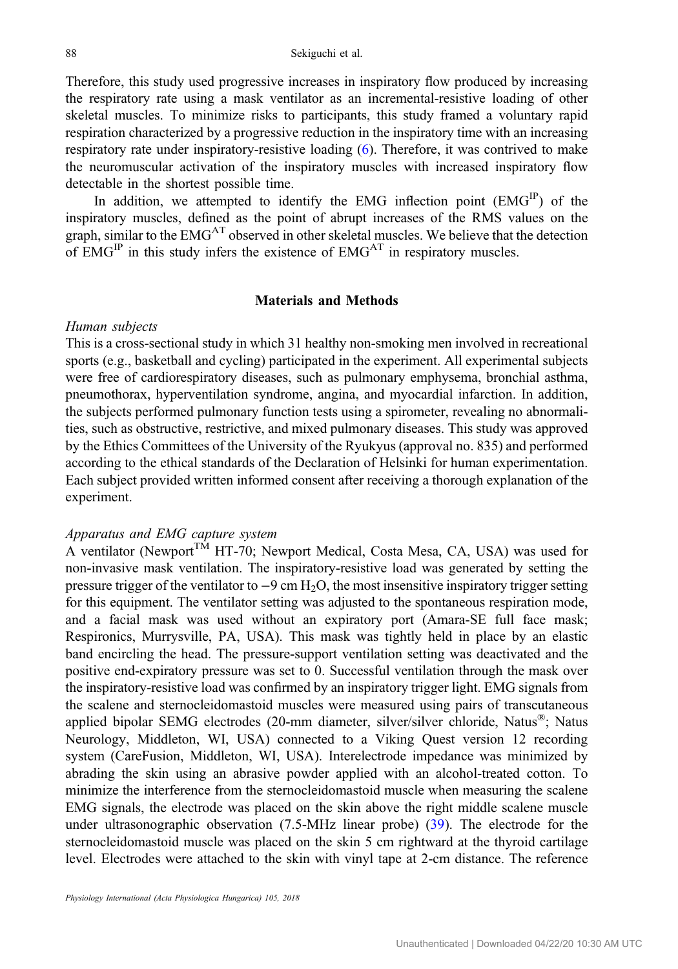Therefore, this study used progressive increases in inspiratory flow produced by increasing the respiratory rate using a mask ventilator as an incremental-resistive loading of other skeletal muscles. To minimize risks to participants, this study framed a voluntary rapid respiration characterized by a progressive reduction in the inspiratory time with an increasing respiratory rate under inspiratory-resistive loading [\(6](#page-11-0)). Therefore, it was contrived to make the neuromuscular activation of the inspiratory muscles with increased inspiratory flow detectable in the shortest possible time.

In addition, we attempted to identify the EMG inflection point (EMGIP) of the inspiratory muscles, defined as the point of abrupt increases of the RMS values on the graph, similar to the EMG<sup>AT</sup> observed in other skeletal muscles. We believe that the detection of  $EMG<sup>IP</sup>$  in this study infers the existence of  $EMG<sup>AT</sup>$  in respiratory muscles.

## Materials and Methods

#### Human subjects

This is a cross-sectional study in which 31 healthy non-smoking men involved in recreational sports (e.g., basketball and cycling) participated in the experiment. All experimental subjects were free of cardiorespiratory diseases, such as pulmonary emphysema, bronchial asthma, pneumothorax, hyperventilation syndrome, angina, and myocardial infarction. In addition, the subjects performed pulmonary function tests using a spirometer, revealing no abnormalities, such as obstructive, restrictive, and mixed pulmonary diseases. This study was approved by the Ethics Committees of the University of the Ryukyus (approval no. 835) and performed according to the ethical standards of the Declaration of Helsinki for human experimentation. Each subject provided written informed consent after receiving a thorough explanation of the experiment.

## Apparatus and EMG capture system

A ventilator (Newport<sup>TM</sup> HT-70; Newport Medical, Costa Mesa, CA, USA) was used for non-invasive mask ventilation. The inspiratory-resistive load was generated by setting the pressure trigger of the ventilator to −9 cm H2O, the most insensitive inspiratory trigger setting for this equipment. The ventilator setting was adjusted to the spontaneous respiration mode, and a facial mask was used without an expiratory port (Amara-SE full face mask; Respironics, Murrysville, PA, USA). This mask was tightly held in place by an elastic band encircling the head. The pressure-support ventilation setting was deactivated and the positive end-expiratory pressure was set to 0. Successful ventilation through the mask over the inspiratory-resistive load was confirmed by an inspiratory trigger light. EMG signals from the scalene and sternocleidomastoid muscles were measured using pairs of transcutaneous applied bipolar SEMG electrodes (20-mm diameter, silver/silver chloride, Natus<sup>®</sup>; Natus Neurology, Middleton, WI, USA) connected to a Viking Quest version 12 recording system (CareFusion, Middleton, WI, USA). Interelectrode impedance was minimized by abrading the skin using an abrasive powder applied with an alcohol-treated cotton. To minimize the interference from the sternocleidomastoid muscle when measuring the scalene EMG signals, the electrode was placed on the skin above the right middle scalene muscle under ultrasonographic observation (7.5-MHz linear probe) [\(39](#page-13-0)). The electrode for the sternocleidomastoid muscle was placed on the skin 5 cm rightward at the thyroid cartilage level. Electrodes were attached to the skin with vinyl tape at 2-cm distance. The reference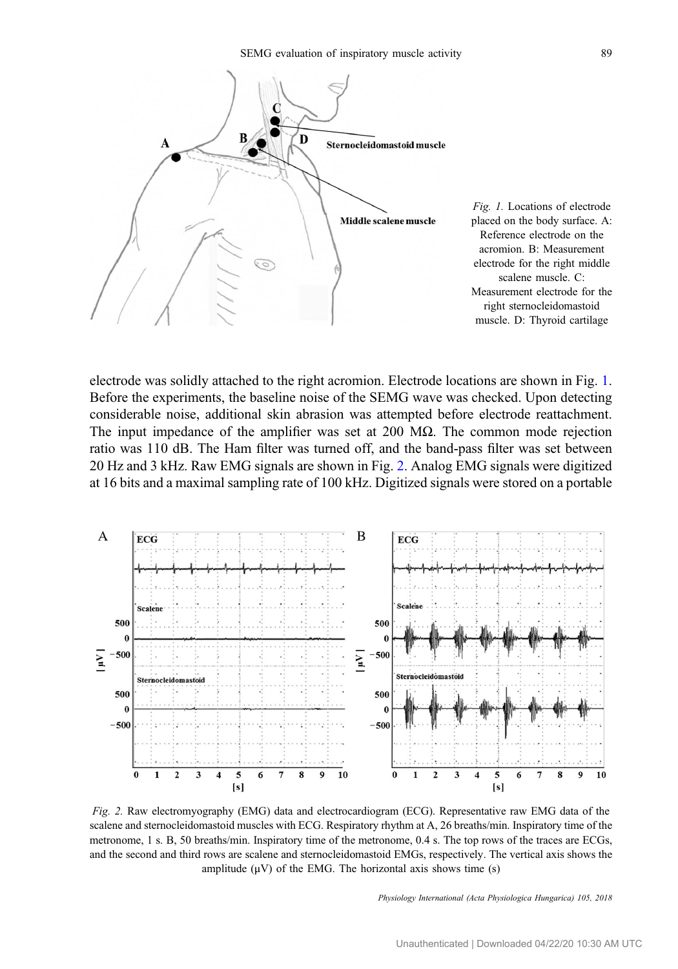

Fig. 1. Locations of electrode placed on the body surface. A: Reference electrode on the acromion. B: Measurement electrode for the right middle scalene muscle. C: Measurement electrode for the right sternocleidomastoid muscle. D: Thyroid cartilage

electrode was solidly attached to the right acromion. Electrode locations are shown in Fig. 1. Before the experiments, the baseline noise of the SEMG wave was checked. Upon detecting considerable noise, additional skin abrasion was attempted before electrode reattachment. The input impedance of the amplifier was set at 200  $\text{M}\Omega$ . The common mode rejection ratio was 110 dB. The Ham filter was turned off, and the band-pass filter was set between 20 Hz and 3 kHz. Raw EMG signals are shown in Fig. 2. Analog EMG signals were digitized at 16 bits and a maximal sampling rate of 100 kHz. Digitized signals were stored on a portable



Fig. 2. Raw electromyography (EMG) data and electrocardiogram (ECG). Representative raw EMG data of the scalene and sternocleidomastoid muscles with ECG. Respiratory rhythm at A, 26 breaths/min. Inspiratory time of the metronome, 1 s. B, 50 breaths/min. Inspiratory time of the metronome, 0.4 s. The top rows of the traces are ECGs, and the second and third rows are scalene and sternocleidomastoid EMGs, respectively. The vertical axis shows the amplitude  $(\mu V)$  of the EMG. The horizontal axis shows time (s)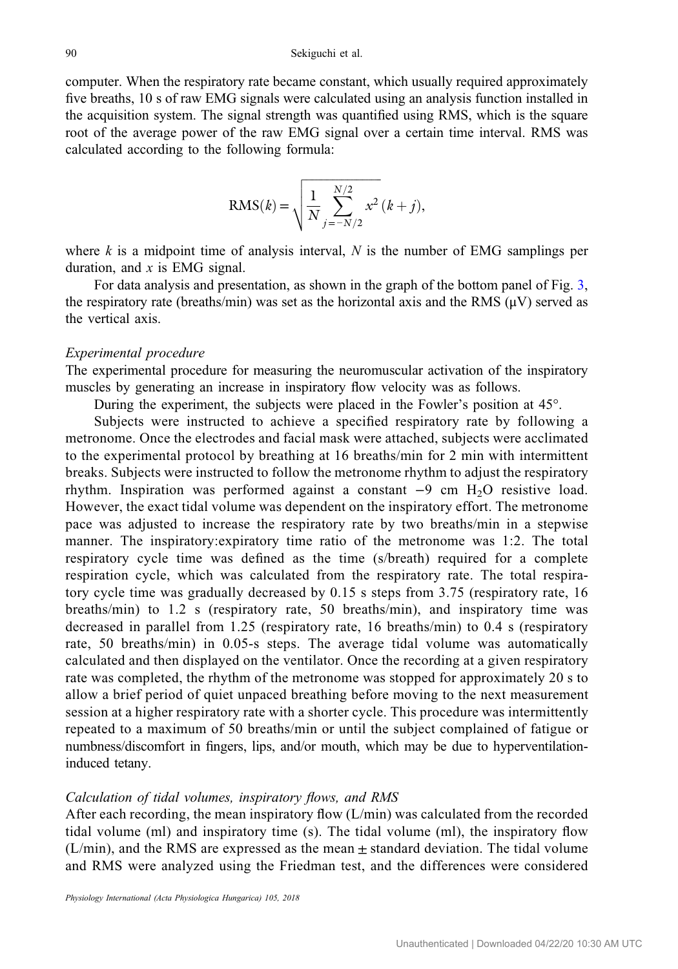computer. When the respiratory rate became constant, which usually required approximately five breaths, 10 s of raw EMG signals were calculated using an analysis function installed in the acquisition system. The signal strength was quantified using RMS, which is the square root of the average power of the raw EMG signal over a certain time interval. RMS was calculated according to the following formula:

following formula:  

$$
RMS(k) = \sqrt{\frac{1}{N} \sum_{j=-N/2}^{N/2} x^2 (k+j)},
$$

where  $k$  is a midpoint time of analysis interval,  $N$  is the number of EMG samplings per duration, and  $x$  is EMG signal.

For data analysis and presentation, as shown in the graph of the bottom panel of Fig. [3,](#page-5-0) the respiratory rate (breaths/min) was set as the horizontal axis and the RMS  $(\mu V)$  served as the vertical axis.

#### Experimental procedure

The experimental procedure for measuring the neuromuscular activation of the inspiratory muscles by generating an increase in inspiratory flow velocity was as follows.

During the experiment, the subjects were placed in the Fowler's position at 45°.

Subjects were instructed to achieve a specified respiratory rate by following a metronome. Once the electrodes and facial mask were attached, subjects were acclimated to the experimental protocol by breathing at 16 breaths/min for 2 min with intermittent breaks. Subjects were instructed to follow the metronome rhythm to adjust the respiratory rhythm. Inspiration was performed against a constant −9 cm H2O resistive load. However, the exact tidal volume was dependent on the inspiratory effort. The metronome pace was adjusted to increase the respiratory rate by two breaths/min in a stepwise manner. The inspiratory:expiratory time ratio of the metronome was 1:2. The total respiratory cycle time was defined as the time (s/breath) required for a complete respiration cycle, which was calculated from the respiratory rate. The total respiratory cycle time was gradually decreased by 0.15 s steps from 3.75 (respiratory rate, 16 breaths/min) to 1.2 s (respiratory rate, 50 breaths/min), and inspiratory time was decreased in parallel from 1.25 (respiratory rate, 16 breaths/min) to 0.4 s (respiratory rate, 50 breaths/min) in 0.05-s steps. The average tidal volume was automatically calculated and then displayed on the ventilator. Once the recording at a given respiratory rate was completed, the rhythm of the metronome was stopped for approximately 20 s to allow a brief period of quiet unpaced breathing before moving to the next measurement session at a higher respiratory rate with a shorter cycle. This procedure was intermittently repeated to a maximum of 50 breaths/min or until the subject complained of fatigue or numbness/discomfort in fingers, lips, and/or mouth, which may be due to hyperventilationinduced tetany.

#### Calculation of tidal volumes, inspiratory flows, and RMS

After each recording, the mean inspiratory flow  $(L/min)$  was calculated from the recorded tidal volume (ml) and inspiratory time (s). The tidal volume (ml), the inspiratory flow  $(L/min)$ , and the RMS are expressed as the mean  $\pm$  standard deviation. The tidal volume and RMS were analyzed using the Friedman test, and the differences were considered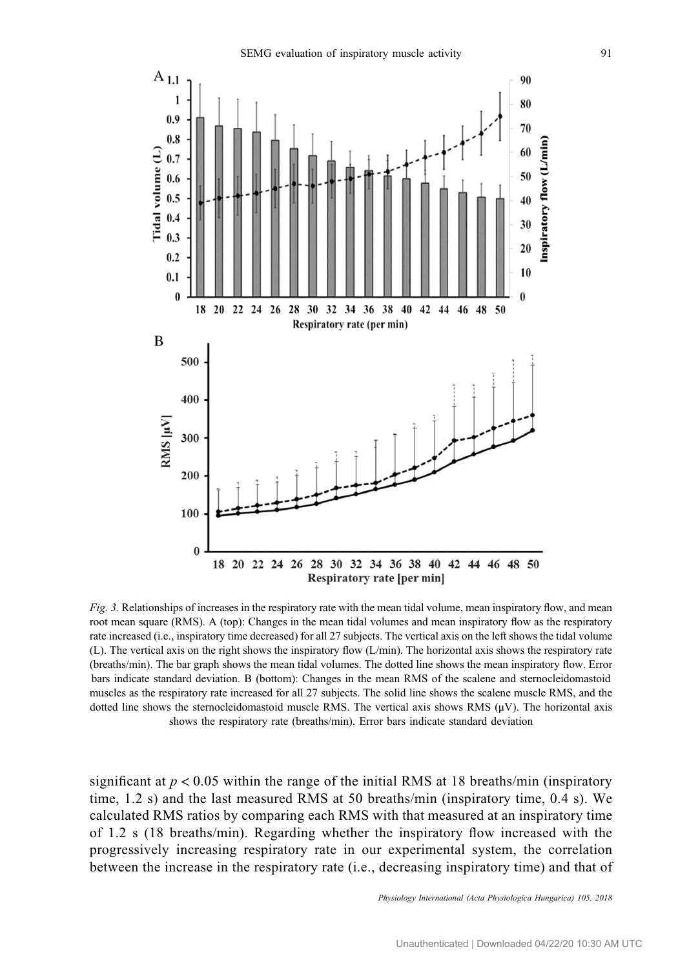<span id="page-5-0"></span>

Fig. 3. Relationships of increases in the respiratory rate with the mean tidal volume, mean inspiratory flow, and mean root mean square (RMS). A (top): Changes in the mean tidal volumes and mean inspiratory flow as the respiratory rate increased (i.e., inspiratory time decreased) for all 27 subjects. The vertical axis on the left shows the tidal volume (L). The vertical axis on the right shows the inspiratory flow (L/min). The horizontal axis shows the respiratory rate (breaths/min). The bar graph shows the mean tidal volumes. The dotted line shows the mean inspiratory flow. Error bars indicate standard deviation. B (bottom): Changes in the mean RMS of the scalene and sternocleidomastoid muscles as the respiratory rate increased for all 27 subjects. The solid line shows the scalene muscle RMS, and the dotted line shows the sternocleidomastoid muscle RMS. The vertical axis shows RMS  $(\mu V)$ . The horizontal axis shows the respiratory rate (breaths/min). Error bars indicate standard deviation

significant at  $p < 0.05$  within the range of the initial RMS at 18 breaths/min (inspiratory time, 1.2 s) and the last measured RMS at 50 breaths/min (inspiratory time, 0.4 s). We calculated RMS ratios by comparing each RMS with that measured at an inspiratory time of 1.2 s (18 breaths/min). Regarding whether the inspiratory flow increased with the progressively increasing respiratory rate in our experimental system, the correlation between the increase in the respiratory rate (i.e., decreasing inspiratory time) and that of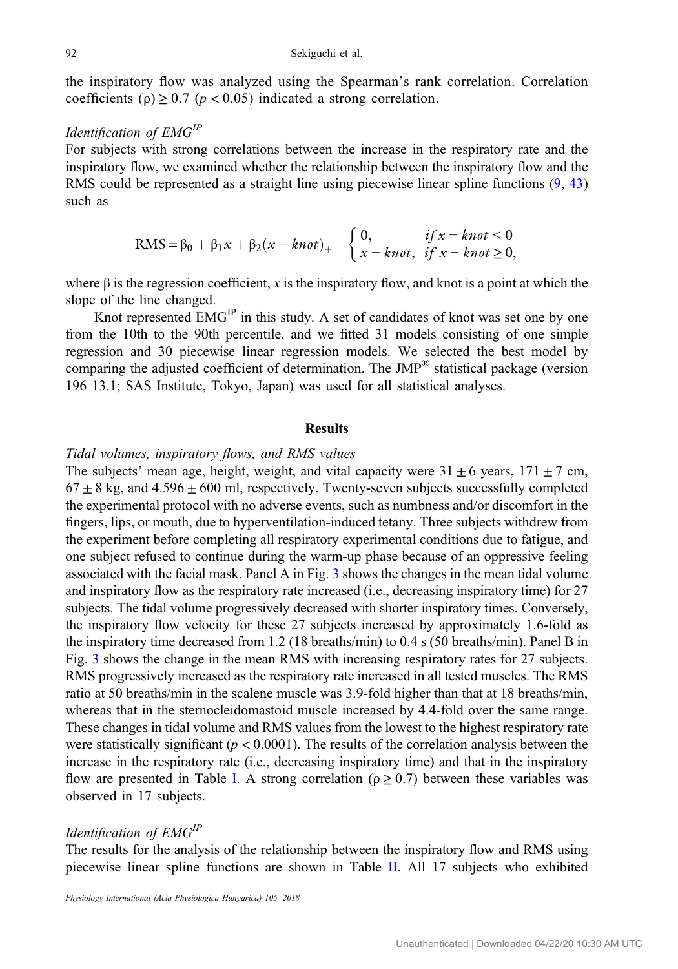the inspiratory flow was analyzed using the Spearman's rank correlation. Correlation coefficients ( $\rho$ )  $\geq$  0.7 ( $p$  < 0.05) indicated a strong correlation.

# Identification of EMGIP

*Identification of EMG*<sup>*IP*</sup><br>For subjects with strong correlations between the increase in the respiratory flow and the<br>inspiratory flow, we examined whether the relationship between the inspiratory flow and the<br>RMS cou inspiratory flow, we examined whether the relationship between the inspiratory flow and the RMS could be represented as a straight line using piecewise linear spline functions [\(9](#page-12-0), [43\)](#page-13-0) such as increase in the respiratory<br>hip between the inspiratory<br>piecewise linear spline func<br>0,<br> $\int \frac{f(x - knt) - f(x)}{f(x - knt)}$ <br>0,

$$
RMS = \beta_0 + \beta_1 x + \beta_2 (x - knot)_+ \quad \begin{cases} 0, & if x - knot < 0 \\ x - knot, & if x - knot \ge 0, \end{cases}
$$

where  $\beta$  is the regression coefficient, x is the inspiratory flow, and knot is a point at which the slope of the line changed.

Knot represented EMG<sup>IP</sup> in this study. A set of candidates of knot was set one by one from the 10th to the 90th percentile, and we fitted 31 models consisting of one simple regression and 30 piecewise linear regression models. We selected the best model by comparing the adjusted coefficient of determination. The  $JMP^{\circledR}$  statistical package (version 196 13.1; SAS Institute, Tokyo, Japan) was used for all statistical analyses.

#### Results

# Tidal volumes, inspiratory flows, and RMS values

The subjects' mean age, height, weight, and vital capacity were  $31 \pm 6$  years,  $171 \pm 7$  cm,  $67 \pm 8$  kg, and  $4.596 \pm 600$  ml, respectively. Twenty-seven subjects successfully completed the experimental protocol with no adverse events, such as numbness and/or discomfort in the fingers, lips, or mouth, due to hyperventilation-induced tetany. Three subjects withdrew from the experiment before completing all respiratory experimental conditions due to fatigue, and one subject refused to continue during the warm-up phase because of an oppressive feeling associated with the facial mask. Panel A in Fig. [3](#page-5-0) shows the changes in the mean tidal volume and inspiratory flow as the respiratory rate increased (i.e., decreasing inspiratory time) for 27 subjects. The tidal volume progressively decreased with shorter inspiratory times. Conversely, the inspiratory flow velocity for these 27 subjects increased by approximately 1.6-fold as the inspiratory time decreased from 1.2 (18 breaths/min) to 0.4 s (50 breaths/min). Panel B in Fig. [3](#page-5-0) shows the change in the mean RMS with increasing respiratory rates for 27 subjects. RMS progressively increased as the respiratory rate increased in all tested muscles. The RMS ratio at 50 breaths/min in the scalene muscle was 3.9-fold higher than that at 18 breaths/min, whereas that in the sternocleidomastoid muscle increased by 4.4-fold over the same range. These changes in tidal volume and RMS values from the lowest to the highest respiratory rate were statistically significant ( $p < 0.0001$ ). The results of the correlation analysis between the increase in the respiratory rate (i.e., decreasing inspiratory time) and that in the inspiratory flow are presented in Table [I](#page-7-0). A strong correlation ( $\rho \ge 0.7$ ) between these variables was observed in 17 subjects.

# Identification of EMGIP

The results for the analysis of the relationship between the inspiratory flow and RMS using piecewise linear spline functions are shown in Table [II](#page-8-0). All 17 subjects who exhibited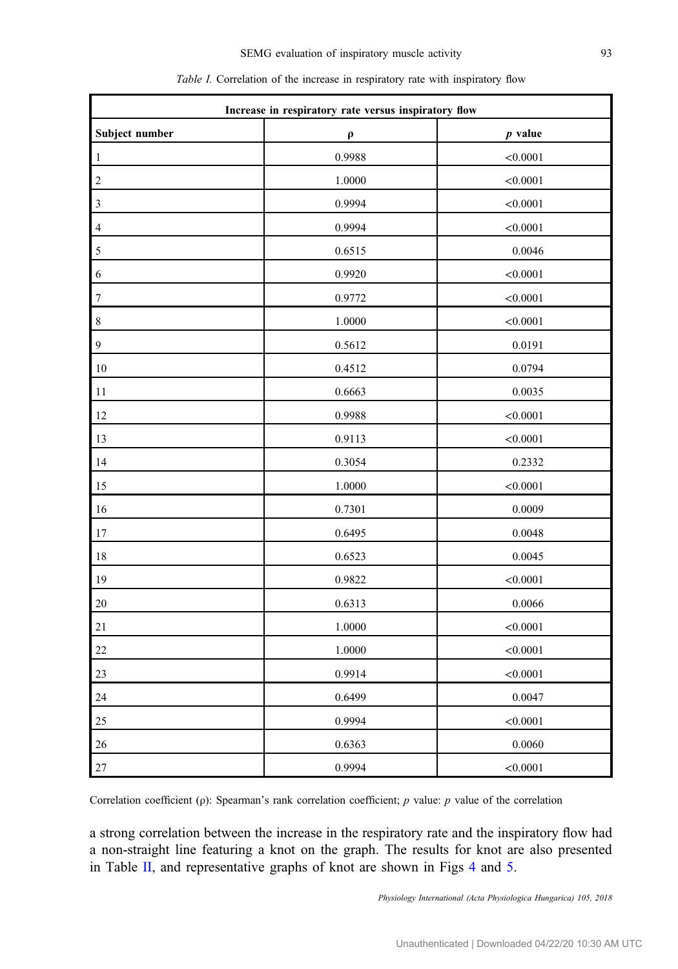<span id="page-7-0"></span>

| Increase in respiratory rate versus inspiratory flow |              |           |  |  |  |  |  |
|------------------------------------------------------|--------------|-----------|--|--|--|--|--|
| Subject number                                       | $\pmb{\rho}$ | $p$ value |  |  |  |  |  |
| $\mathbf{1}$                                         | 0.9988       | < 0.0001  |  |  |  |  |  |
| $\sqrt{2}$                                           | 1.0000       | < 0.0001  |  |  |  |  |  |
| 3                                                    | 0.9994       | < 0.0001  |  |  |  |  |  |
| $\overline{\mathcal{A}}$                             | 0.9994       | < 0.0001  |  |  |  |  |  |
| 5                                                    | 0.6515       | 0.0046    |  |  |  |  |  |
| 6                                                    | 0.9920       | < 0.0001  |  |  |  |  |  |
| 7                                                    | 0.9772       | < 0.0001  |  |  |  |  |  |
| $\,$ $\,$                                            | 1.0000       | < 0.0001  |  |  |  |  |  |
| $\boldsymbol{9}$                                     | 0.5612       | 0.0191    |  |  |  |  |  |
| $10\,$                                               | 0.4512       | 0.0794    |  |  |  |  |  |
| 11                                                   | 0.6663       | 0.0035    |  |  |  |  |  |
| 12                                                   | 0.9988       | < 0.0001  |  |  |  |  |  |
| 13                                                   | 0.9113       | < 0.0001  |  |  |  |  |  |
| 14                                                   | 0.3054       | 0.2332    |  |  |  |  |  |
| 15                                                   | 1.0000       | < 0.0001  |  |  |  |  |  |
| 16                                                   | 0.7301       | 0.0009    |  |  |  |  |  |
| $17\,$                                               | 0.6495       | 0.0048    |  |  |  |  |  |
| $18\,$                                               | 0.6523       | 0.0045    |  |  |  |  |  |
| 19                                                   | 0.9822       | < 0.0001  |  |  |  |  |  |
| $20\,$                                               | 0.6313       | 0.0066    |  |  |  |  |  |
| $21\,$                                               | 1.0000       | < 0.0001  |  |  |  |  |  |
| 22                                                   | 1.0000       | < 0.0001  |  |  |  |  |  |
| 23                                                   | 0.9914       | < 0.0001  |  |  |  |  |  |
| 24                                                   | 0.6499       | 0.0047    |  |  |  |  |  |
| $25\,$                                               | 0.9994       | < 0.0001  |  |  |  |  |  |
| $26\,$                                               | 0.6363       | 0.0060    |  |  |  |  |  |
| $27\,$                                               | 0.9994       | < 0.0001  |  |  |  |  |  |

| <i>Table I.</i> Correlation of the increase in respiratory rate with inspiratory flow |  |  |  |  |
|---------------------------------------------------------------------------------------|--|--|--|--|
|                                                                                       |  |  |  |  |

Correlation coefficient (ρ): Spearman's rank correlation coefficient; p value: p value of the correlation

a strong correlation between the increase in the respiratory rate and the inspiratory flow had a non-straight line featuring a knot on the graph. The results for knot are also presented in Table [II,](#page-8-0) and representative graphs of knot are shown in Figs [4](#page-9-0) and [5.](#page-9-0)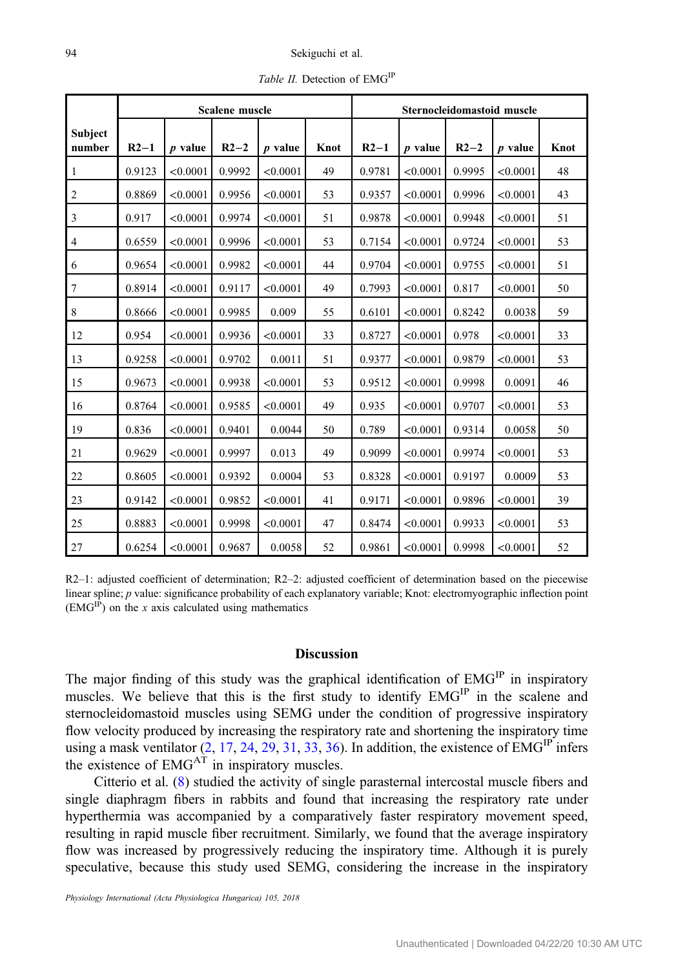<span id="page-8-0"></span>

|                   | Scalene muscle |           |        |           |      | Sternocleidomastoid muscle |           |        |           |      |
|-------------------|----------------|-----------|--------|-----------|------|----------------------------|-----------|--------|-----------|------|
| Subject<br>number | $R2-1$         | $p$ value | $R2-2$ | $p$ value | Knot | $R2-1$                     | $p$ value | $R2-2$ | $p$ value | Knot |
| 1                 | 0.9123         | < 0.0001  | 0.9992 | < 0.0001  | 49   | 0.9781                     | < 0.0001  | 0.9995 | < 0.0001  | 48   |
| $\overline{2}$    | 0.8869         | < 0.0001  | 0.9956 | < 0.0001  | 53   | 0.9357                     | < 0.0001  | 0.9996 | < 0.0001  | 43   |
| 3                 | 0.917          | < 0.0001  | 0.9974 | < 0.0001  | 51   | 0.9878                     | < 0.0001  | 0.9948 | < 0.0001  | 51   |
| $\overline{4}$    | 0.6559         | < 0.0001  | 0.9996 | < 0.0001  | 53   | 0.7154                     | < 0.0001  | 0.9724 | < 0.0001  | 53   |
| 6                 | 0.9654         | < 0.0001  | 0.9982 | < 0.0001  | 44   | 0.9704                     | < 0.0001  | 0.9755 | < 0.0001  | 51   |
| 7                 | 0.8914         | < 0.0001  | 0.9117 | < 0.0001  | 49   | 0.7993                     | < 0.0001  | 0.817  | < 0.0001  | 50   |
| 8                 | 0.8666         | < 0.0001  | 0.9985 | 0.009     | 55   | 0.6101                     | < 0.0001  | 0.8242 | 0.0038    | 59   |
| 12                | 0.954          | < 0.0001  | 0.9936 | < 0.0001  | 33   | 0.8727                     | < 0.0001  | 0.978  | < 0.0001  | 33   |
| 13                | 0.9258         | < 0.0001  | 0.9702 | 0.0011    | 51   | 0.9377                     | < 0.0001  | 0.9879 | < 0.0001  | 53   |
| 15                | 0.9673         | < 0.0001  | 0.9938 | < 0.0001  | 53   | 0.9512                     | < 0.0001  | 0.9998 | 0.0091    | 46   |
| 16                | 0.8764         | < 0.0001  | 0.9585 | < 0.0001  | 49   | 0.935                      | < 0.0001  | 0.9707 | < 0.0001  | 53   |
| 19                | 0.836          | < 0.0001  | 0.9401 | 0.0044    | 50   | 0.789                      | < 0.0001  | 0.9314 | 0.0058    | 50   |
| 21                | 0.9629         | < 0.0001  | 0.9997 | 0.013     | 49   | 0.9099                     | < 0.0001  | 0.9974 | < 0.0001  | 53   |
| 22                | 0.8605         | < 0.0001  | 0.9392 | 0.0004    | 53   | 0.8328                     | < 0.0001  | 0.9197 | 0.0009    | 53   |
| 23                | 0.9142         | < 0.0001  | 0.9852 | < 0.0001  | 41   | 0.9171                     | < 0.0001  | 0.9896 | < 0.0001  | 39   |
| 25                | 0.8883         | < 0.0001  | 0.9998 | < 0.0001  | 47   | 0.8474                     | < 0.0001  | 0.9933 | < 0.0001  | 53   |
| 27                | 0.6254         | < 0.0001  | 0.9687 | 0.0058    | 52   | 0.9861                     | < 0.0001  | 0.9998 | < 0.0001  | 52   |

Table II. Detection of EMG<sup>IP</sup>

R2–1: adjusted coefficient of determination; R2–2: adjusted coefficient of determination based on the piecewise linear spline; p value: significance probability of each explanatory variable; Knot: electromyographic inflection point  $(EMG<sup>IP</sup>)$  on the x axis calculated using mathematics

# Discussion

The major finding of this study was the graphical identification of EMG<sup>IP</sup> in inspiratory muscles. We believe that this is the first study to identify EMG<sup>IP</sup> in the scalene and sternocleidomastoid muscles using SEMG under the condition of progressive inspiratory flow velocity produced by increasing the respiratory rate and shortening the inspiratory time using a mask ventilator  $(2, 17, 24, 29, 31, 33, 36)$  $(2, 17, 24, 29, 31, 33, 36)$  $(2, 17, 24, 29, 31, 33, 36)$  $(2, 17, 24, 29, 31, 33, 36)$  $(2, 17, 24, 29, 31, 33, 36)$  $(2, 17, 24, 29, 31, 33, 36)$  $(2, 17, 24, 29, 31, 33, 36)$  $(2, 17, 24, 29, 31, 33, 36)$  $(2, 17, 24, 29, 31, 33, 36)$  $(2, 17, 24, 29, 31, 33, 36)$  $(2, 17, 24, 29, 31, 33, 36)$  $(2, 17, 24, 29, 31, 33, 36)$  $(2, 17, 24, 29, 31, 33, 36)$  $(2, 17, 24, 29, 31, 33, 36)$ . In addition, the existence of  $EMG<sup>IP</sup>$  infers the existence of  $EMG<sup>AT</sup>$  in inspiratory muscles.

Citterio et al. ([8\)](#page-11-0) studied the activity of single parasternal intercostal muscle fibers and single diaphragm fibers in rabbits and found that increasing the respiratory rate under hyperthermia was accompanied by a comparatively faster respiratory movement speed, resulting in rapid muscle fiber recruitment. Similarly, we found that the average inspiratory flow was increased by progressively reducing the inspiratory time. Although it is purely speculative, because this study used SEMG, considering the increase in the inspiratory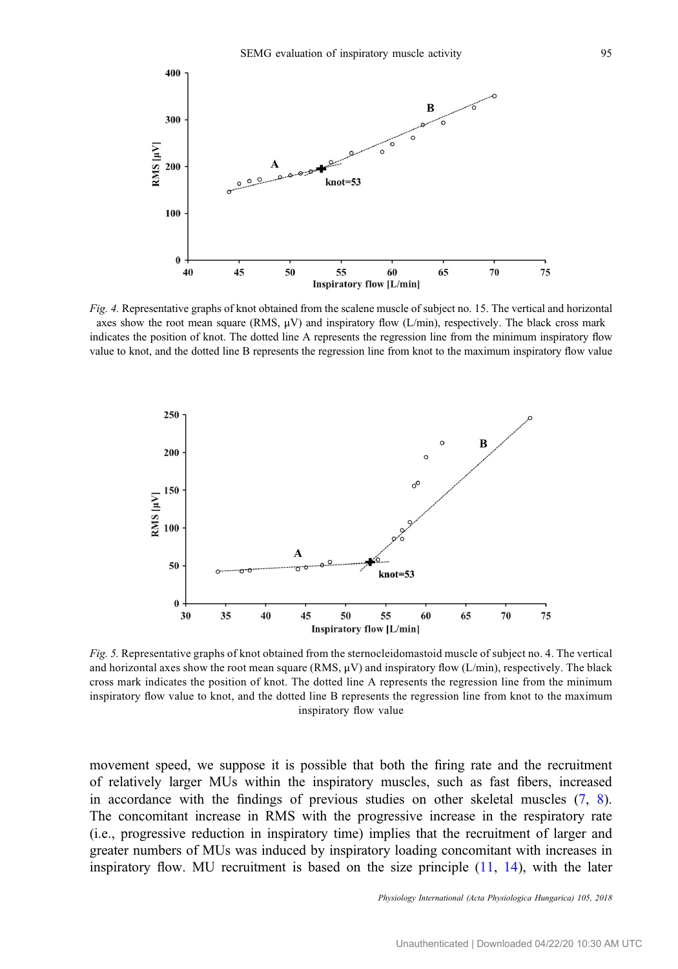<span id="page-9-0"></span>

Fig. 4. Representative graphs of knot obtained from the scalene muscle of subject no. 15. The vertical and horizontal axes show the root mean square (RMS,  $\mu$ V) and inspiratory flow (L/min), respectively. The black cross mark indicates the position of knot. The dotted line A represents the regression line from the minimum inspiratory flow value to knot, and the dotted line B represents the regression line from knot to the maximum inspiratory flow value



Fig. 5. Representative graphs of knot obtained from the sternocleidomastoid muscle of subject no. 4. The vertical and horizontal axes show the root mean square (RMS,  $\mu$ V) and inspiratory flow (L/min), respectively. The black cross mark indicates the position of knot. The dotted line A represents the regression line from the minimum inspiratory flow value to knot, and the dotted line B represents the regression line from knot to the maximum inspiratory flow value

movement speed, we suppose it is possible that both the firing rate and the recruitment of relatively larger MUs within the inspiratory muscles, such as fast fibers, increased in accordance with the findings of previous studies on other skeletal muscles [\(7](#page-11-0), [8](#page-11-0)). The concomitant increase in RMS with the progressive increase in the respiratory rate (i.e., progressive reduction in inspiratory time) implies that the recruitment of larger and greater numbers of MUs was induced by inspiratory loading concomitant with increases in inspiratory flow. MU recruitment is based on the size principle ([11,](#page-12-0) [14\)](#page-12-0), with the later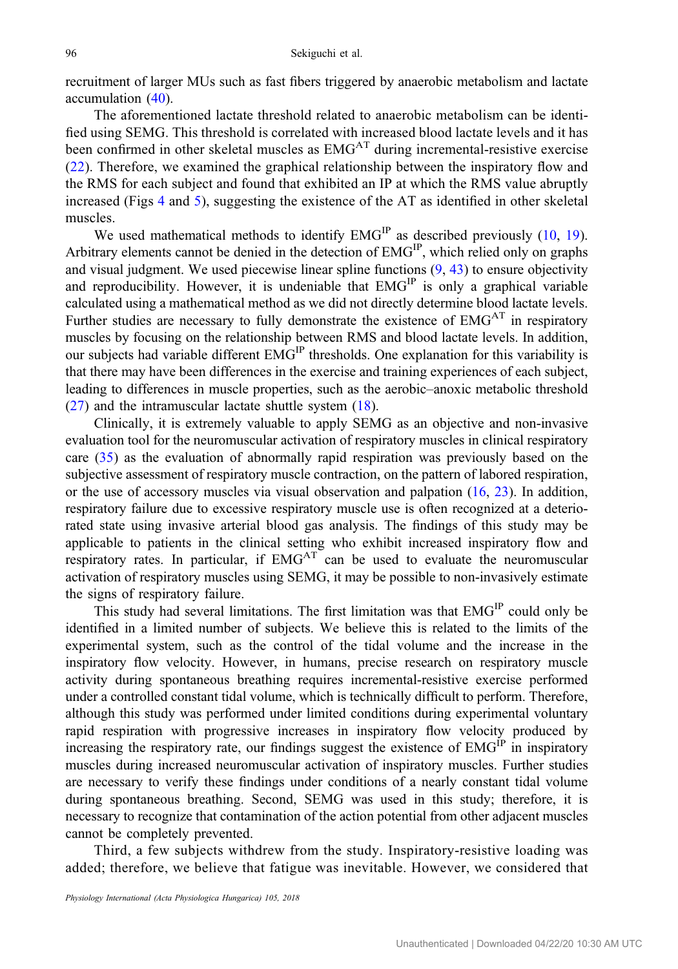recruitment of larger MUs such as fast fibers triggered by anaerobic metabolism and lactate accumulation [\(40](#page-13-0)).

The aforementioned lactate threshold related to anaerobic metabolism can be identified using SEMG. This threshold is correlated with increased blood lactate levels and it has been confirmed in other skeletal muscles as EMGAT during incremental-resistive exercise [\(22\)](#page-12-0). Therefore, we examined the graphical relationship between the inspiratory flow and the RMS for each subject and found that exhibited an IP at which the RMS value abruptly increased (Figs [4](#page-9-0) and [5](#page-9-0)), suggesting the existence of the AT as identified in other skeletal muscles.

We used mathematical methods to identify  $EMG<sup>IP</sup>$  as described previously ([10](#page-12-0), [19](#page-12-0)). Arbitrary elements cannot be denied in the detection of  $EMG<sup>IP</sup>$ , which relied only on graphs and visual judgment. We used piecewise linear spline functions  $(9, 43)$  $(9, 43)$  $(9, 43)$  $(9, 43)$  to ensure objectivity and reproducibility. However, it is undeniable that  $EMG<sup>IP</sup>$  is only a graphical variable calculated using a mathematical method as we did not directly determine blood lactate levels. Further studies are necessary to fully demonstrate the existence of  $EMG<sup>AT</sup>$  in respiratory muscles by focusing on the relationship between RMS and blood lactate levels. In addition, our subjects had variable different EMG<sup>IP</sup> thresholds. One explanation for this variability is that there may have been differences in the exercise and training experiences of each subject, leading to differences in muscle properties, such as the aerobic–anoxic metabolic threshold [\(27](#page-12-0)) and the intramuscular lactate shuttle system ([18\)](#page-12-0).

Clinically, it is extremely valuable to apply SEMG as an objective and non-invasive evaluation tool for the neuromuscular activation of respiratory muscles in clinical respiratory care ([35\)](#page-12-0) as the evaluation of abnormally rapid respiration was previously based on the subjective assessment of respiratory muscle contraction, on the pattern of labored respiration, or the use of accessory muscles via visual observation and palpation  $(16, 23)$  $(16, 23)$  $(16, 23)$  $(16, 23)$ . In addition, respiratory failure due to excessive respiratory muscle use is often recognized at a deteriorated state using invasive arterial blood gas analysis. The findings of this study may be applicable to patients in the clinical setting who exhibit increased inspiratory flow and respiratory rates. In particular, if  $EMG<sup>AT</sup>$  can be used to evaluate the neuromuscular activation of respiratory muscles using SEMG, it may be possible to non-invasively estimate the signs of respiratory failure.

This study had several limitations. The first limitation was that  $EMG<sup>IP</sup>$  could only be identified in a limited number of subjects. We believe this is related to the limits of the experimental system, such as the control of the tidal volume and the increase in the inspiratory flow velocity. However, in humans, precise research on respiratory muscle activity during spontaneous breathing requires incremental-resistive exercise performed under a controlled constant tidal volume, which is technically difficult to perform. Therefore, although this study was performed under limited conditions during experimental voluntary rapid respiration with progressive increases in inspiratory flow velocity produced by increasing the respiratory rate, our findings suggest the existence of  $EMG<sup>IP</sup>$  in inspiratory muscles during increased neuromuscular activation of inspiratory muscles. Further studies are necessary to verify these findings under conditions of a nearly constant tidal volume during spontaneous breathing. Second, SEMG was used in this study; therefore, it is necessary to recognize that contamination of the action potential from other adjacent muscles cannot be completely prevented.

Third, a few subjects withdrew from the study. Inspiratory-resistive loading was added; therefore, we believe that fatigue was inevitable. However, we considered that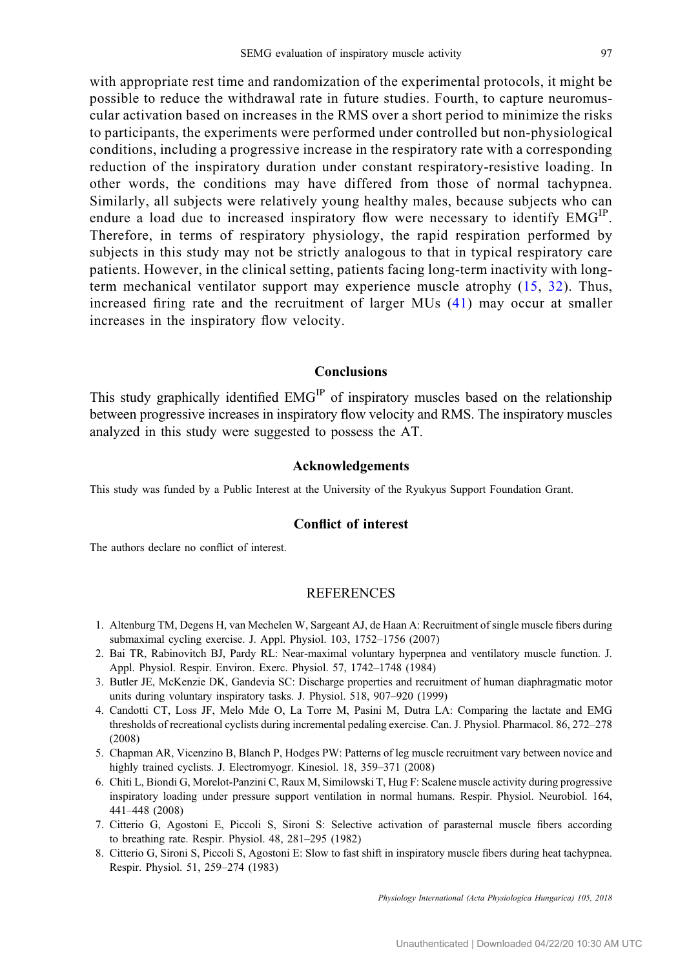<span id="page-11-0"></span>with appropriate rest time and randomization of the experimental protocols, it might be possible to reduce the withdrawal rate in future studies. Fourth, to capture neuromuscular activation based on increases in the RMS over a short period to minimize the risks to participants, the experiments were performed under controlled but non-physiological conditions, including a progressive increase in the respiratory rate with a corresponding reduction of the inspiratory duration under constant respiratory-resistive loading. In other words, the conditions may have differed from those of normal tachypnea. Similarly, all subjects were relatively young healthy males, because subjects who can endure a load due to increased inspiratory flow were necessary to identify  $EMG<sup>IP</sup>$ . Therefore, in terms of respiratory physiology, the rapid respiration performed by subjects in this study may not be strictly analogous to that in typical respiratory care patients. However, in the clinical setting, patients facing long-term inactivity with longterm mechanical ventilator support may experience muscle atrophy [\(15,](#page-12-0) [32\)](#page-12-0). Thus, increased firing rate and the recruitment of larger MUs ([41](#page-13-0)) may occur at smaller increases in the inspiratory flow velocity.

# Conclusions

This study graphically identified EMG<sup>IP</sup> of inspiratory muscles based on the relationship between progressive increases in inspiratory flow velocity and RMS. The inspiratory muscles analyzed in this study were suggested to possess the AT.

#### Acknowledgements

This study was funded by a Public Interest at the University of the Ryukyus Support Foundation Grant.

## Conflict of interest

The authors declare no conflict of interest.

## **REFERENCES**

- 1. Altenburg TM, Degens H, van Mechelen W, Sargeant AJ, de Haan A: Recruitment of single muscle fibers during submaximal cycling exercise. J. Appl. Physiol. 103, 1752–1756 (2007)
- 2. Bai TR, Rabinovitch BJ, Pardy RL: Near-maximal voluntary hyperpnea and ventilatory muscle function. J. Appl. Physiol. Respir. Environ. Exerc. Physiol. 57, 1742–1748 (1984)
- 3. Butler JE, McKenzie DK, Gandevia SC: Discharge properties and recruitment of human diaphragmatic motor units during voluntary inspiratory tasks. J. Physiol. 518, 907–920 (1999)
- 4. Candotti CT, Loss JF, Melo Mde O, La Torre M, Pasini M, Dutra LA: Comparing the lactate and EMG thresholds of recreational cyclists during incremental pedaling exercise. Can. J. Physiol. Pharmacol. 86, 272–278 (2008)
- 5. Chapman AR, Vicenzino B, Blanch P, Hodges PW: Patterns of leg muscle recruitment vary between novice and highly trained cyclists. J. Electromyogr. Kinesiol. 18, 359–371 (2008)
- 6. Chiti L, Biondi G, Morelot-Panzini C, Raux M, Similowski T, Hug F: Scalene muscle activity during progressive inspiratory loading under pressure support ventilation in normal humans. Respir. Physiol. Neurobiol. 164, 441–448 (2008)
- 7. Citterio G, Agostoni E, Piccoli S, Sironi S: Selective activation of parasternal muscle fibers according to breathing rate. Respir. Physiol. 48, 281–295 (1982)
- 8. Citterio G, Sironi S, Piccoli S, Agostoni E: Slow to fast shift in inspiratory muscle fibers during heat tachypnea. Respir. Physiol. 51, 259–274 (1983)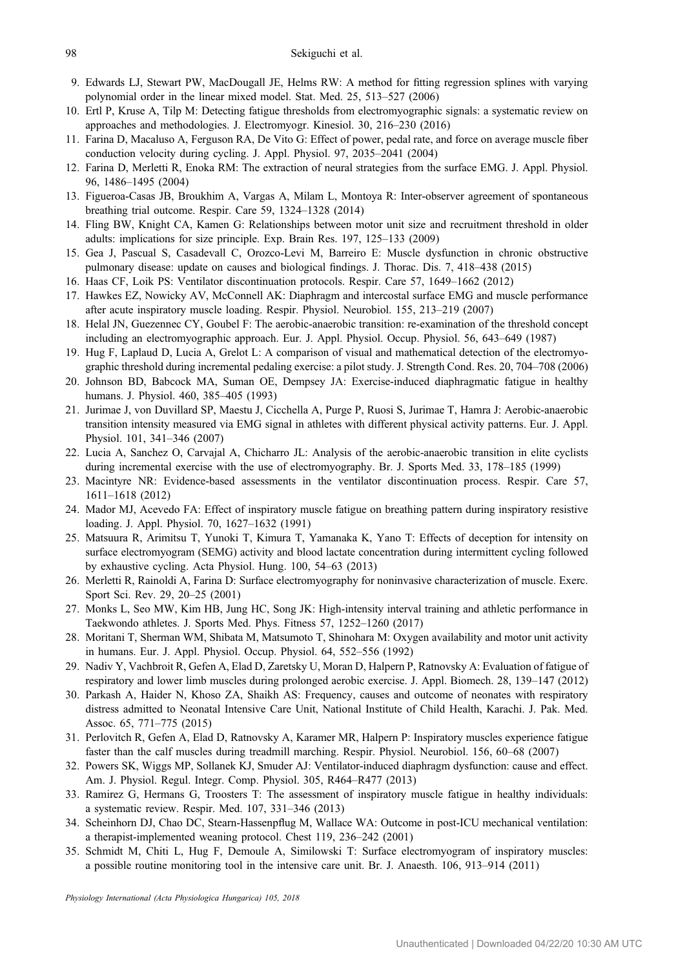- <span id="page-12-0"></span>9. Edwards LJ, Stewart PW, MacDougall JE, Helms RW: A method for fitting regression splines with varying polynomial order in the linear mixed model. Stat. Med. 25, 513–527 (2006)
- 10. Ertl P, Kruse A, Tilp M: Detecting fatigue thresholds from electromyographic signals: a systematic review on approaches and methodologies. J. Electromyogr. Kinesiol. 30, 216–230 (2016)
- 11. Farina D, Macaluso A, Ferguson RA, De Vito G: Effect of power, pedal rate, and force on average muscle fiber conduction velocity during cycling. J. Appl. Physiol. 97, 2035–2041 (2004)
- 12. Farina D, Merletti R, Enoka RM: The extraction of neural strategies from the surface EMG. J. Appl. Physiol. 96, 1486–1495 (2004)
- 13. Figueroa-Casas JB, Broukhim A, Vargas A, Milam L, Montoya R: Inter-observer agreement of spontaneous breathing trial outcome. Respir. Care 59, 1324–1328 (2014)
- 14. Fling BW, Knight CA, Kamen G: Relationships between motor unit size and recruitment threshold in older adults: implications for size principle. Exp. Brain Res. 197, 125–133 (2009)
- 15. Gea J, Pascual S, Casadevall C, Orozco-Levi M, Barreiro E: Muscle dysfunction in chronic obstructive pulmonary disease: update on causes and biological findings. J. Thorac. Dis. 7, 418–438 (2015)
- 16. Haas CF, Loik PS: Ventilator discontinuation protocols. Respir. Care 57, 1649–1662 (2012)
- 17. Hawkes EZ, Nowicky AV, McConnell AK: Diaphragm and intercostal surface EMG and muscle performance after acute inspiratory muscle loading. Respir. Physiol. Neurobiol. 155, 213–219 (2007)
- 18. Helal JN, Guezennec CY, Goubel F: The aerobic-anaerobic transition: re-examination of the threshold concept including an electromyographic approach. Eur. J. Appl. Physiol. Occup. Physiol. 56, 643–649 (1987)
- 19. Hug F, Laplaud D, Lucia A, Grelot L: A comparison of visual and mathematical detection of the electromyographic threshold during incremental pedaling exercise: a pilot study. J. Strength Cond. Res. 20, 704–708 (2006)
- 20. Johnson BD, Babcock MA, Suman OE, Dempsey JA: Exercise-induced diaphragmatic fatigue in healthy humans. J. Physiol. 460, 385–405 (1993)
- 21. Jurimae J, von Duvillard SP, Maestu J, Cicchella A, Purge P, Ruosi S, Jurimae T, Hamra J: Aerobic-anaerobic transition intensity measured via EMG signal in athletes with different physical activity patterns. Eur. J. Appl. Physiol. 101, 341–346 (2007)
- 22. Lucia A, Sanchez O, Carvajal A, Chicharro JL: Analysis of the aerobic-anaerobic transition in elite cyclists during incremental exercise with the use of electromyography. Br. J. Sports Med. 33, 178–185 (1999)
- 23. Macintyre NR: Evidence-based assessments in the ventilator discontinuation process. Respir. Care 57, 1611–1618 (2012)
- 24. Mador MJ, Acevedo FA: Effect of inspiratory muscle fatigue on breathing pattern during inspiratory resistive loading. J. Appl. Physiol. 70, 1627–1632 (1991)
- 25. Matsuura R, Arimitsu T, Yunoki T, Kimura T, Yamanaka K, Yano T: Effects of deception for intensity on surface electromyogram (SEMG) activity and blood lactate concentration during intermittent cycling followed by exhaustive cycling. Acta Physiol. Hung. 100, 54–63 (2013)
- 26. Merletti R, Rainoldi A, Farina D: Surface electromyography for noninvasive characterization of muscle. Exerc. Sport Sci. Rev. 29, 20–25 (2001)
- 27. Monks L, Seo MW, Kim HB, Jung HC, Song JK: High-intensity interval training and athletic performance in Taekwondo athletes. J. Sports Med. Phys. Fitness 57, 1252–1260 (2017)
- 28. Moritani T, Sherman WM, Shibata M, Matsumoto T, Shinohara M: Oxygen availability and motor unit activity in humans. Eur. J. Appl. Physiol. Occup. Physiol. 64, 552–556 (1992)
- 29. Nadiv Y, Vachbroit R, Gefen A, Elad D, Zaretsky U, Moran D, Halpern P, Ratnovsky A: Evaluation of fatigue of respiratory and lower limb muscles during prolonged aerobic exercise. J. Appl. Biomech. 28, 139–147 (2012)
- 30. Parkash A, Haider N, Khoso ZA, Shaikh AS: Frequency, causes and outcome of neonates with respiratory distress admitted to Neonatal Intensive Care Unit, National Institute of Child Health, Karachi. J. Pak. Med. Assoc. 65, 771–775 (2015)
- 31. Perlovitch R, Gefen A, Elad D, Ratnovsky A, Karamer MR, Halpern P: Inspiratory muscles experience fatigue faster than the calf muscles during treadmill marching. Respir. Physiol. Neurobiol. 156, 60–68 (2007)
- 32. Powers SK, Wiggs MP, Sollanek KJ, Smuder AJ: Ventilator-induced diaphragm dysfunction: cause and effect. Am. J. Physiol. Regul. Integr. Comp. Physiol. 305, R464–R477 (2013)
- 33. Ramirez G, Hermans G, Troosters T: The assessment of inspiratory muscle fatigue in healthy individuals: a systematic review. Respir. Med. 107, 331–346 (2013)
- 34. Scheinhorn DJ, Chao DC, Stearn-Hassenpflug M, Wallace WA: Outcome in post-ICU mechanical ventilation: a therapist-implemented weaning protocol. Chest 119, 236–242 (2001)
- 35. Schmidt M, Chiti L, Hug F, Demoule A, Similowski T: Surface electromyogram of inspiratory muscles: a possible routine monitoring tool in the intensive care unit. Br. J. Anaesth. 106, 913–914 (2011)